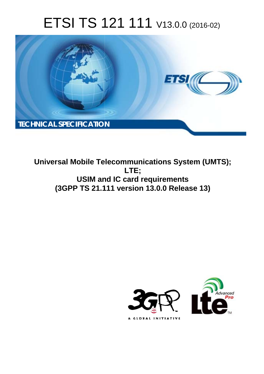# ETSI TS 121 111 V13.0.0 (2016-02)



**Universal Mobile Telecommunications System (UMTS);** LTE; **USIM and IC card requirements** (3GPP TS 21.111 version 13.0.0 Release 13)

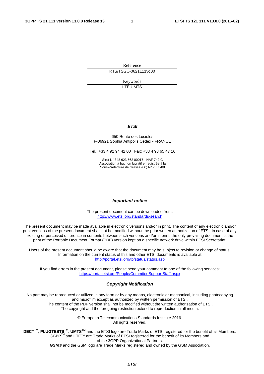Reference RTS/TSGC-0621111vd00

> Keywords LTE,UMTS

#### *ETSI*

#### 650 Route des Lucioles F-06921 Sophia Antipolis Cedex - FRANCE

Tel.: +33 4 92 94 42 00 Fax: +33 4 93 65 47 16

Siret N° 348 623 562 00017 - NAF 742 C Association à but non lucratif enregistrée à la Sous-Préfecture de Grasse (06) N° 7803/88

#### *Important notice*

The present document can be downloaded from: <http://www.etsi.org/standards-search>

The present document may be made available in electronic versions and/or in print. The content of any electronic and/or print versions of the present document shall not be modified without the prior written authorization of ETSI. In case of any existing or perceived difference in contents between such versions and/or in print, the only prevailing document is the print of the Portable Document Format (PDF) version kept on a specific network drive within ETSI Secretariat.

Users of the present document should be aware that the document may be subject to revision or change of status. Information on the current status of this and other ETSI documents is available at <http://portal.etsi.org/tb/status/status.asp>

If you find errors in the present document, please send your comment to one of the following services: <https://portal.etsi.org/People/CommiteeSupportStaff.aspx>

#### *Copyright Notification*

No part may be reproduced or utilized in any form or by any means, electronic or mechanical, including photocopying and microfilm except as authorized by written permission of ETSI.

The content of the PDF version shall not be modified without the written authorization of ETSI. The copyright and the foregoing restriction extend to reproduction in all media.

> © European Telecommunications Standards Institute 2016. All rights reserved.

**DECT**TM, **PLUGTESTS**TM, **UMTS**TM and the ETSI logo are Trade Marks of ETSI registered for the benefit of its Members. **3GPP**TM and **LTE**™ are Trade Marks of ETSI registered for the benefit of its Members and of the 3GPP Organizational Partners.

**GSM**® and the GSM logo are Trade Marks registered and owned by the GSM Association.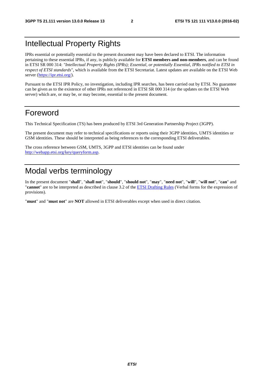## Intellectual Property Rights

IPRs essential or potentially essential to the present document may have been declared to ETSI. The information pertaining to these essential IPRs, if any, is publicly available for **ETSI members and non-members**, and can be found in ETSI SR 000 314: *"Intellectual Property Rights (IPRs); Essential, or potentially Essential, IPRs notified to ETSI in respect of ETSI standards"*, which is available from the ETSI Secretariat. Latest updates are available on the ETSI Web server [\(https://ipr.etsi.org/\)](https://ipr.etsi.org/).

Pursuant to the ETSI IPR Policy, no investigation, including IPR searches, has been carried out by ETSI. No guarantee can be given as to the existence of other IPRs not referenced in ETSI SR 000 314 (or the updates on the ETSI Web server) which are, or may be, or may become, essential to the present document.

### Foreword

This Technical Specification (TS) has been produced by ETSI 3rd Generation Partnership Project (3GPP).

The present document may refer to technical specifications or reports using their 3GPP identities, UMTS identities or GSM identities. These should be interpreted as being references to the corresponding ETSI deliverables.

The cross reference between GSM, UMTS, 3GPP and ETSI identities can be found under [http://webapp.etsi.org/key/queryform.asp.](http://webapp.etsi.org/key/queryform.asp)

## Modal verbs terminology

In the present document "**shall**", "**shall not**", "**should**", "**should not**", "**may**", "**need not**", "**will**", "**will not**", "**can**" and "**cannot**" are to be interpreted as described in clause 3.2 of the [ETSI Drafting Rules](http://portal.etsi.org/Help/editHelp!/Howtostart/ETSIDraftingRules.aspx) (Verbal forms for the expression of provisions).

"**must**" and "**must not**" are **NOT** allowed in ETSI deliverables except when used in direct citation.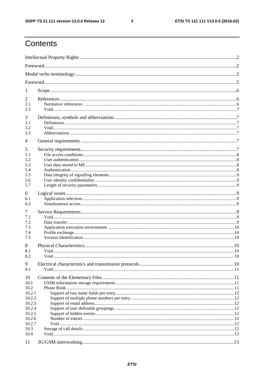$\mathbf{3}$ 

## Contents

| 1                |  |  |  |  |  |  |  |
|------------------|--|--|--|--|--|--|--|
| 2                |  |  |  |  |  |  |  |
| 2.1<br>2.2       |  |  |  |  |  |  |  |
| 3                |  |  |  |  |  |  |  |
| 3.1              |  |  |  |  |  |  |  |
| 3.2<br>3.3       |  |  |  |  |  |  |  |
|                  |  |  |  |  |  |  |  |
| $\overline{4}$   |  |  |  |  |  |  |  |
| 5<br>5.1         |  |  |  |  |  |  |  |
| 5.2              |  |  |  |  |  |  |  |
| 5.3<br>5.4       |  |  |  |  |  |  |  |
| 5.5              |  |  |  |  |  |  |  |
| 5.6              |  |  |  |  |  |  |  |
| 5.7              |  |  |  |  |  |  |  |
| 6<br>6.1         |  |  |  |  |  |  |  |
| 6.2              |  |  |  |  |  |  |  |
| 7                |  |  |  |  |  |  |  |
| 7.1              |  |  |  |  |  |  |  |
| 7.2<br>7.3       |  |  |  |  |  |  |  |
| 7.4              |  |  |  |  |  |  |  |
| 7.5              |  |  |  |  |  |  |  |
| 8                |  |  |  |  |  |  |  |
| 8.1<br>8.2       |  |  |  |  |  |  |  |
| 9                |  |  |  |  |  |  |  |
| 9.1              |  |  |  |  |  |  |  |
| 10               |  |  |  |  |  |  |  |
| 10.1             |  |  |  |  |  |  |  |
| 10.2<br>10.2.1   |  |  |  |  |  |  |  |
| 10.2.2           |  |  |  |  |  |  |  |
| 10.2.3           |  |  |  |  |  |  |  |
| 10.2.4<br>10.2.5 |  |  |  |  |  |  |  |
| 10.2.6           |  |  |  |  |  |  |  |
| 10.2.7           |  |  |  |  |  |  |  |
| 10.3<br>10.4     |  |  |  |  |  |  |  |
| 11               |  |  |  |  |  |  |  |
|                  |  |  |  |  |  |  |  |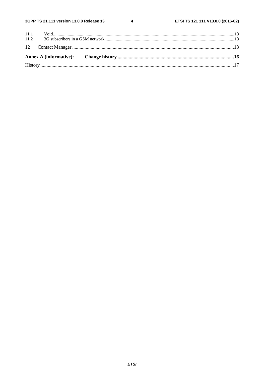$\overline{\mathbf{4}}$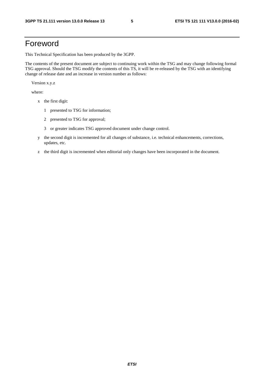## Foreword

This Technical Specification has been produced by the 3GPP.

The contents of the present document are subject to continuing work within the TSG and may change following formal TSG approval. Should the TSG modify the contents of this TS, it will be re-released by the TSG with an identifying change of release date and an increase in version number as follows:

Version x.y.z

where:

- x the first digit:
	- 1 presented to TSG for information;
	- 2 presented to TSG for approval;
	- 3 or greater indicates TSG approved document under change control.
- y the second digit is incremented for all changes of substance, i.e. technical enhancements, corrections, updates, etc.
- z the third digit is incremented when editorial only changes have been incorporated in the document.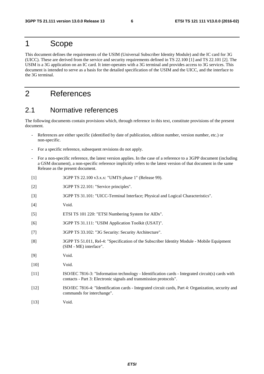### 1 Scope

This document defines the requirements of the USIM (Universal Subscriber Identity Module) and the IC card for 3G (UICC). These are derived from the service and security requirements defined in TS 22.100 [1] and TS 22.101 [2]. The USIM is a 3G application on an IC card. It inter-operates with a 3G terminal and provides access to 3G services. This document is intended to serve as a basis for the detailed specification of the USIM and the UICC, and the interface to the 3G terminal.

## 2 References

### 2.1 Normative references

The following documents contain provisions which, through reference in this text, constitute provisions of the present document.

- References are either specific (identified by date of publication, edition number, version number, etc.) or non-specific.
- For a specific reference, subsequent revisions do not apply.
- For a non-specific reference, the latest version applies. In the case of a reference to a 3GPP document (including a GSM document), a non-specific reference implicitly refers to the latest version of that document in the same Release as the present document.
- [1] 3GPP TS 22.100 v3.x.x: "UMTS phase 1" (Release 99).
- [2] 3GPP TS 22.101: "Service principles".
- [3] 3GPP TS 31.101: "UICC-Terminal Interface; Physical and Logical Characteristics".
- [4] Void.
- [5] ETSI TS 101 220: "ETSI Numbering System for AIDs".
- [6] 3GPP TS 31.111: "USIM Application Toolkit (USAT)".
- [7] 3GPP TS 33.102: "3G Security: Security Architecture".
- [8] 3GPP TS 51.011, Rel-4: "Specification of the Subscriber Identity Module Mobile Equipment (SIM - ME) interface".
- [9] Void.
- [10] **Void.**
- [11] ISO/IEC 7816-3: "Information technology Identification cards Integrated circuit(s) cards with contacts - Part 3: Electronic signals and transmission protocols".
- [12] ISO/IEC 7816-4: "Identification cards Integrated circuit cards, Part 4: Organization, security and commands for interchange".
- [13] **Void.**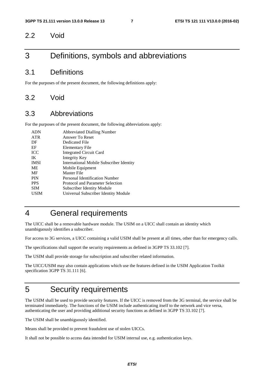#### 2.2 Void

### 3 Definitions, symbols and abbreviations

#### 3.1 Definitions

For the purposes of the present document, the following definitions apply:

#### 3.2 Void

#### 3.3 Abbreviations

For the purposes of the present document, the following abbreviations apply:

| <b>ADN</b>  | <b>Abbreviated Dialling Number</b>              |
|-------------|-------------------------------------------------|
| <b>ATR</b>  | Answer To Reset                                 |
| DF          | Dedicated File                                  |
| EF          | Elementary File                                 |
| <b>ICC</b>  | <b>Integrated Circuit Card</b>                  |
| IK          | Integrity Key                                   |
| <b>IMSI</b> | <b>International Mobile Subscriber Identity</b> |
| ME          | Mobile Equipment                                |
| MF          | Master File                                     |
| <b>PIN</b>  | Personal Identification Number                  |
| <b>PPS</b>  | Protocol and Parameter Selection                |
| <b>SIM</b>  | <b>Subscriber Identity Module</b>               |
| <b>USIM</b> | Universal Subscriber Identity Module            |
|             |                                                 |

## 4 General requirements

The UICC shall be a removable hardware module. The USIM on a UICC shall contain an identity which unambiguously identifies a subscriber.

For access to 3G services, a UICC containing a valid USIM shall be present at all times, other than for emergency calls.

The specifications shall support the security requirements as defined in 3GPP TS 33.102 [7].

The USIM shall provide storage for subscription and subscriber related information.

The UICC/USIM may also contain applications which use the features defined in the USIM Application Toolkit specification 3GPP TS 31.111 [6].

### 5 Security requirements

The USIM shall be used to provide security features. If the UICC is removed from the 3G terminal, the service shall be terminated immediately. The functions of the USIM include authenticating itself to the network and vice versa, authenticating the user and providing additional security functions as defined in 3GPP TS 33.102 [7].

The USIM shall be unambiguously identified.

Means shall be provided to prevent fraudulent use of stolen UICCs.

It shall not be possible to access data intended for USIM internal use, e.g. authentication keys.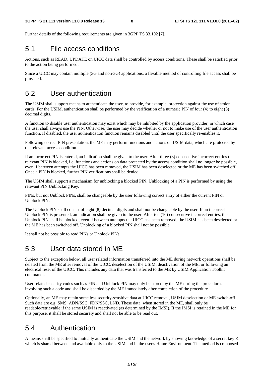Further details of the following requirements are given in 3GPP TS 33.102 [7].

### 5.1 File access conditions

Actions, such as READ, UPDATE on UICC data shall be controlled by access conditions. These shall be satisfied prior to the action being performed.

Since a UICC may contain multiple (3G and non-3G) applications, a flexible method of controlling file access shall be provided.

### 5.2 User authentication

The USIM shall support means to authenticate the user, to provide, for example, protection against the use of stolen cards. For the USIM, authentication shall be performed by the verification of a numeric PIN of four (4) to eight (8) decimal digits.

A function to disable user authentication may exist which may be inhibited by the application provider, in which case the user shall always use the PIN. Otherwise, the user may decide whether or not to make use of the user authentication function. If disabled, the user authentication function remains disabled until the user specifically re-enables it.

Following correct PIN presentation, the ME may perform functions and actions on USIM data, which are protected by the relevant access condition.

If an incorrect PIN is entered, an indication shall be given to the user. After three (3) consecutive incorrect entries the relevant PIN is blocked, i.e. functions and actions on data protected by the access condition shall no longer be possible, even if between attempts the UICC has been removed, the USIM has been deselected or the ME has been switched off. Once a PIN is blocked, further PIN verifications shall be denied.

The USIM shall support a mechanism for unblocking a blocked PIN. Unblocking of a PIN is performed by using the relevant PIN Unblocking Key.

PINs, but not Unblock PINs, shall be changeable by the user following correct entry of either the current PIN or Unblock PIN.

The Unblock PIN shall consist of eight (8) decimal digits and shall not be changeable by the user. If an incorrect Unblock PIN is presented, an indication shall be given to the user. After ten (10) consecutive incorrect entries, the Unblock PIN shall be blocked, even if between attempts the UICC has been removed, the USIM has been deselected or the ME has been switched off. Unblocking of a blocked PIN shall not be possible.

It shall not be possible to read PINs or Unblock PINs.

### 5.3 User data stored in ME

Subject to the exception below, all user related information transferred into the ME during network operations shall be deleted from the ME after removal of the UICC, deselection of the USIM, deactivation of the ME, or following an electrical reset of the UICC. This includes any data that was transferred to the ME by USIM Application Toolkit commands.

User related security codes such as PIN and Unblock PIN may only be stored by the ME during the procedures involving such a code and shall be discarded by the ME immediately after completion of the procedure.

Optionally, an ME may retain some less security-sensitive data at UICC removal, USIM deselection or ME switch-off. Such data are e.g. SMS, ADN/SSC, FDN/SSC, LND. These data, when stored in the ME, shall only be readable/retrievable if the same USIM is reactivated (as determined by the IMSI). If the IMSI is retained in the ME for this purpose, it shall be stored securely and shall not be able to be read out.

### 5.4 Authentication

A means shall be specified to mutually authenticate the USIM and the network by showing knowledge of a secret key K which is shared between and available only to the USIM and in the user's Home Environment. The method is composed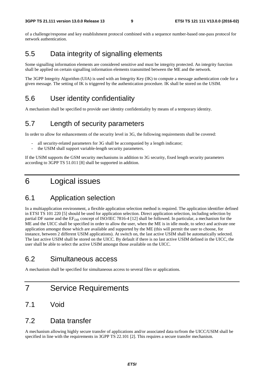of a challenge/response and key establishment protocol combined with a sequence number-based one-pass protocol for network authentication.

### 5.5 Data integrity of signalling elements

Some signalling information elements are considered sensitive and must be integrity protected. An integrity function shall be applied on certain signalling information elements transmitted between the ME and the network.

The 3GPP Integrity Algorithm (UIA) is used with an Integrity Key (IK) to compute a message authentication code for a given message. The setting of IK is triggered by the authentication procedure. IK shall be stored on the USIM.

### 5.6 User identity confidentiality

A mechanism shall be specified to provide user identity confidentiality by means of a temporary identity.

#### 5.7 Length of security parameters

In order to allow for enhancements of the security level in 3G, the following requirements shall be covered:

- all security-related parameters for 3G shall be accompanied by a length indicator;
- the USIM shall support variable-length security parameters.

If the USIM supports the GSM security mechanisms in addition to 3G security, fixed length security parameters according to 3GPP TS 51.011 [8] shall be supported in addition.

### 6 Logical issues

### 6.1 Application selection

In a multiapplication environment, a flexible application selection method is required. The application identifier defined in ETSI TS 101 220 [5] should be used for application selection. Direct application selection, including selection by partial DF name and the  $EF_{\text{DIR}}$  concept of ISO/IEC 7816-4 [12] shall be followed. In particular, a mechanism for the ME and the UICC shall be specified in order to allow the user, when the ME is in idle mode, to select and activate one application amongst those which are available and supported by the ME (this will permit the user to choose, for instance, between 2 different USIM applications). At switch on, the last active USIM shall be automatically selected. The last active USIM shall be stored on the UICC. By default if there is no last active USIM defined in the UICC, the user shall be able to select the active USIM amongst those available on the UICC.

### 6.2 Simultaneous access

A mechanism shall be specified for simultaneous access to several files or applications.

### 7 Service Requirements

#### 7.1 Void

#### 7.2 Data transfer

A mechanism allowing highly secure transfer of applications and/or associated data to/from the UICC/USIM shall be specified in line with the requirements in 3GPP TS 22.101 [2]. This requires a secure transfer mechanism.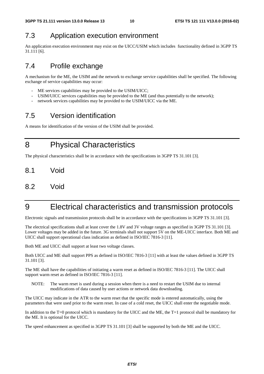## 7.3 Application execution environment

An application execution environment may exist on the UICC/USIM which includes functionality defined in 3GPP TS 31.111 [6].

## 7.4 Profile exchange

A mechanism for the ME, the USIM and the network to exchange service capabilities shall be specified. The following exchange of service capabilities may occur:

- ME services capabilities may be provided to the USIM/UICC;
- USIM/UICC services capabilities may be provided to the ME (and thus potentially to the network);
- network services capabilities may be provided to the USIM/UICC via the ME.

## 7.5 Version identification

A means for identification of the version of the USIM shall be provided.

8 Physical Characteristics

The physical characteristics shall be in accordance with the specifications in 3GPP TS 31.101 [3].

- 8.1 Void
- 8.2 Void

## 9 Electrical characteristics and transmission protocols

Electronic signals and transmission protocols shall be in accordance with the specifications in 3GPP TS 31.101 [3].

The electrical specifications shall at least cover the 1.8V and 3V voltage ranges as specified in 3GPP TS 31.101 [3]. Lower voltages may be added in the future. 3G terminals shall not support 5V on the ME-UICC interface. Both ME and UICC shall support operational class indication as defined in ISO/IEC 7816-3 [11].

Both ME and UICC shall support at least two voltage classes.

Both UICC and ME shall support PPS as defined in ISO/IEC 7816-3 [11] with at least the values defined in 3GPP TS 31.101 [3].

The ME shall have the capabilities of initiating a warm reset as defined in ISO/IEC 7816-3 [11]. The UICC shall support warm reset as defined in ISO/IEC 7816-3 [11].

NOTE: The warm reset is used during a session when there is a need to restart the USIM due to internal modifications of data caused by user actions or network data downloading.

The UICC may indicate in the ATR to the warm reset that the specific mode is entered automatically, using the parameters that were used prior to the warm reset. In case of a cold reset, the UICC shall enter the negotiable mode.

In addition to the T=0 protocol which is mandatory for the UICC and the ME, the T=1 protocol shall be mandatory for the ME. It is optional for the UICC.

The speed enhancement as specified in 3GPP TS 31.101 [3] shall be supported by both the ME and the UICC.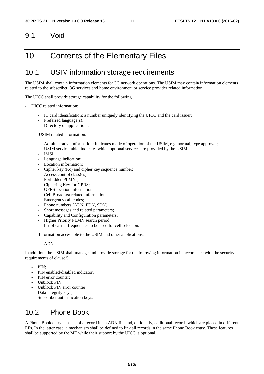#### 9.1 Void

### 10 Contents of the Elementary Files

#### 10.1 USIM information storage requirements

The USIM shall contain information elements for 3G network operations. The USIM may contain information elements related to the subscriber, 3G services and home environment or service provider related information.

The UICC shall provide storage capability for the following:

- UICC related information:
	- IC card identification: a number uniquely identifying the UICC and the card issuer;
	- Preferred language(s);
	- Directory of applications.
	- USIM related information:
		- Administrative information: indicates mode of operation of the USIM, e.g. normal, type approval;
		- USIM service table: indicates which optional services are provided by the USIM;
		- IMSI:
		- Language indication;
		- Location information:
		- Cipher key (Kc) and cipher key sequence number;
		- Access control class(es);
		- Forbidden PLMNs:
		- Ciphering Key for GPRS;
		- GPRS location information:
		- Cell Broadcast related information:
		- Emergency call codes;
		- Phone numbers (ADN, FDN, SDN);
		- Short messages and related parameters;
		- Capability and Configuration parameters;
		- Higher Priority PLMN search period;
		- list of carrier frequencies to be used for cell selection.
	- Information accessible to the USIM and other applications:
		- ADN.

In addition, the USIM shall manage and provide storage for the following information in accordance with the security requirements of clause 5:

- PIN:
- PIN enabled/disabled indicator;
- PIN error counter:
- Unblock PIN;
- Unblock PIN error counter;
- Data integrity keys;
- Subscriber authentication keys.

### 10.2 Phone Book

A Phone Book entry consists of a record in an ADN file and, optionally, additional records which are placed in different EFs. In the latter case, a mechanism shall be defined to link all records in the same Phone Book entry. These features shall be supported by the ME while their support by the UICC is optional.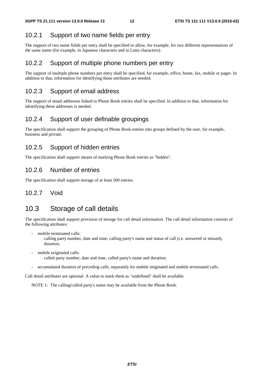#### 10.2.1 Support of two name fields per entry

The support of two name fields per entry shall be specified to allow, for example, for two different representations of the same name (for example, in Japanese characters and in Latin characters).

#### 10.2.2 Support of multiple phone numbers per entry

The support of multiple phone numbers per entry shall be specified, for example, office, home, fax, mobile or pager. In addition to that, information for identifying those attributes are needed.

#### 10.2.3 Support of email address

The support of email addresses linked to Phone Book entries shall be specified. In addition to that, information for identifying these addresses is needed.

#### 10.2.4 Support of user definable groupings

The specification shall support the grouping of Phone Book entries into groups defined by the user, for example, business and private.

#### 10.2.5 Support of hidden entries

The specification shall support means of marking Phone Book entries as "hidden".

#### 10.2.6 Number of entries

The specification shall support storage of at least 500 entries.

#### 10.2.7 Void

### 10.3 Storage of call details

The specification shall support provision of storage for call detail information. The call detail information consists of the following attributes:

mobile terminated calls:

 calling party number, date and time, calling party's name and status of call (i.e. answered or missed), duration;

- mobile originated calls: called party number, date and time, called party's name and duration;
- accumulated duration of preceding calls, separately for mobile originated and mobile terminated calls.

Call detail attributes are optional. A value to mark them as "undefined" shall be available.

NOTE 1: The calling/called party's name may be available from the Phone Book.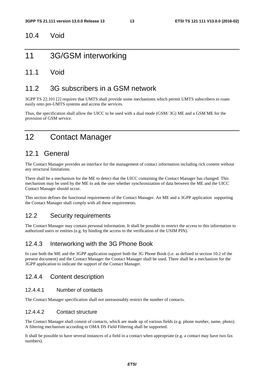#### 10.4 Void

### 11 3G/GSM interworking

#### 11.1 Void

#### 11.2 3G subscribers in a GSM network

3GPP TS 22.101 [2] requires that UMTS shall provide some mechanisms which permit UMTS subscribers to roam easily onto pre-UMTS systems and access the services.

Thus, the specification shall allow the UICC to be used with a dual mode (GSM/ 3G) ME and a GSM ME for the provision of GSM service.

## 12 Contact Manager

### 12.1 General

The Contact Manager provides an interface for the management of contact information including rich content without any structural limitations.

There shall be a mechanism for the ME to detect that the UICC containing the Contact Manager has changed. This mechanism may be used by the ME to ask the user whether synchronization of data between the ME and the UICC Contact Manager should occur.

This section defines the functional requirements of the Contact Manager. An ME and a 3GPP application supporting the Contact Manager shall comply with all these requirements.

#### 12.2 Security requirements

The Contact Manager may contain personal information. It shall be possible to restrict the access to this information to authorized users or entities (e.g. by binding the access to the verification of the USIM PIN).

#### 12.4.3 Interworking with the 3G Phone Book

In case both the ME and the 3GPP application support both the 3G Phone Book (i.e. as defined in section 10.2 of the present document) and the Contact Manager the Contact Manager shall be used. There shall be a mechanism for the 3GPP application to indicate the support of the Contact Manager.

#### 12.4.4 Content description

#### 12.4.4.1 Number of contacts

The Contact Manager specification shall not unreasonably restrict the number of contacts.

#### 12.4.4.2 Contact structure

The Contact Manager shall consist of contacts, which are made up of various fields (e.g. phone number, name, photo). A filtering mechanism according to OMA DS Field Filtering shall be supported.

It shall be possible to have several instances of a field in a contact when appropriate (e.g. a contact may have two fax numbers).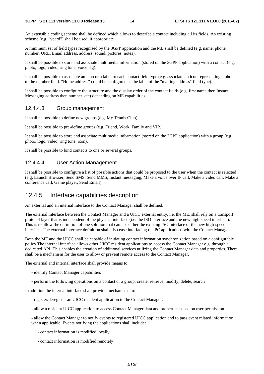An extensible coding scheme shall be defined which allows to describe a contact including all its fields. An existing scheme (e.g. "vcard") shall be used, if appropriate.

A minimum set of field types recognised by the 3GPP application and the ME shall be defined (e.g. name, phone number, URL, Email address, address, sound, pictures, notes).

It shall be possible to store and associate multimedia information (stored on the 3GPP application) with a contact (e.g. photo, logo, video, ring tone, voice tag).

It shall be possible to associate an icon or a label to each contact field type (e.g. associate an icon representing a phone to the number field. "Home address" could be configured as the label of the "mailing address" field type).

It shall be possible to configure the structure and the display order of the contact fields (e.g. first name then Instant Messaging address then number, etc) depending on ME capabilities.

#### 12.4.4.3 Group management

It shall be possible to define new groups (e.g. My Tennis Club).

It shall be possible to pre-define groups (e.g. Friend, Work, Family and VIP).

It shall be possible to store and associate multimedia information (stored on the 3GPP application) with a group (e.g. photo, logo, video, ring tone, icon).

It shall be possible to bind contacts to one or several groups.

#### 12.4.4.4 User Action Management

It shall be possible to configure a list of possible actions that could be proposed to the user when the contact is selected (e.g. Launch Browser, Send SMS, Send MMS, Instant messaging, Make a voice over IP call, Make a video call, Make a conference call, Game player, Send Email).

#### 12.4.5 Interface capabilities description

An external and an internal interface to the Contact Manager shall be defined.

The external interface between the Contact Manager and a UICC external entity, i.e. the ME, shall rely on a transport protocol layer that is independent of the physical interface (i.e. the ISO interface and the new high-speed interface). This is to allow the definition of one solution that can use either the existing ISO interface or the new high-speed interface. The external interface definition shall also ease interfacing the PC applications with the Contact Manager.

Both the ME and the UICC shall be capable of initiating contact information synchronization based on a configurable policy.The internal interface allows other UICC resident applications to access the Contact Manager e.g. through a dedicated API. This enables the creation of additional services utilizing the Contact Manager data and properties. There shall be a mechanism for the user to allow or prevent remote access to the Contact Manager.

The external and internal interface shall provide means to:

- identify Contact Manager capabilities
- perform the following operations on a contact or a group: create, retrieve, modify, delete, search

In addition the internal interface shall provide mechanisms to:

- register/deregister an UICC resident application to the Contact Manager.
- allow a resident UICC application to access Contact Manager data and properties based on user permission.

- allow the Contact Manager to notify events to registered UICC application and to pass event related information when applicable. Events notifying the applications shall include:

- contact information is modified locally
- contact information is modified remotely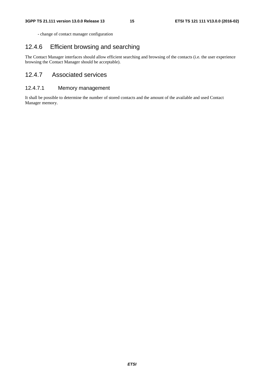- change of contact manager configuration

#### 12.4.6 Efficient browsing and searching

The Contact Manager interfaces should allow efficient searching and browsing of the contacts (i.e. the user experience browsing the Contact Manager should be acceptable).

#### 12.4.7 Associated services

#### 12.4.7.1 Memory management

It shall be possible to determine the number of stored contacts and the amount of the available and used Contact Manager memory.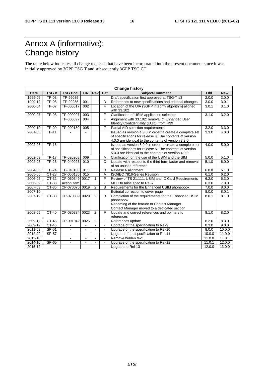## Annex A (informative): Change history

The table below indicates all change requests that have been incorporated into the present document since it was initially approved by 3GPP TSG T and subsequently 3GPP TSG CT.

| <b>Change history</b> |              |                 |                |                |                |                                                             |        |                     |
|-----------------------|--------------|-----------------|----------------|----------------|----------------|-------------------------------------------------------------|--------|---------------------|
| <b>Date</b>           | TSG#         | <b>TSG Doc.</b> | <b>CR</b>      | Rev            | Cat            | Subject/Comment                                             | Old    | <b>New</b>          |
| 1999-06               | TP-03        | TP-99085        |                |                |                | Draft specification first approved at TSG-T #3              | 2.0.0  | 3.0.0               |
| 1999-12               | TP-06        | TP-99255        | 001            |                | D              | References to new specifications and editorial changes      | 3.0.0  | 3.0.1               |
| 2000-04               | TP-07        | TP-000017       | 002            |                | F              | Location of the UIA (3GPP integrity algorithm) aligned      | 3.0.1  | 3.1.0               |
|                       |              |                 |                |                |                | with 33.102                                                 |        |                     |
| 2000-07               | <b>TP-08</b> | TP-000097       | 003            |                | F              | Clarification of USIM application selection                 | 3.1.0  | 3.2.0               |
|                       |              | TP-000097       | 004            |                | F              | Alignment with 33.102: removal of Enhanced User             |        |                     |
|                       |              |                 |                |                |                | Identity Confidentiality (EUIC) from R99                    |        |                     |
| 2000-10               | TP-09        | TP-000150       | 005            |                | F              | Partial AID selection requirements                          | 3.2.0  | 3.3.0               |
| 2001-03               | <b>TP-11</b> |                 |                |                |                | Issued as version 4.0.0 in order to create a complete set   | 3.3.0  | 4.0.0               |
|                       |              |                 |                |                |                | of specifications for release 4. The contents of version    |        |                     |
|                       |              |                 |                |                |                | 4.0.0 are identical to the contents of version 3.3.0        |        |                     |
| 2002-06               | $TP-16$      |                 |                |                |                | Issued as version 5.0.0 in order to create a complete set   | 4.0.0  | 5.0.0               |
|                       |              |                 |                |                |                | of specifications for release 5. The contents of version    |        |                     |
|                       |              |                 |                |                |                | 5.0.0 are identical to the contents of version 4.0.0        |        |                     |
| 2002-09               | <b>TP-17</b> | TP-020208       | 009            |                | A              | Clarification on the use of the USIM and the SIM            | 5.0.0  | 5.1.0               |
| 2004-03               | <b>TP-23</b> | TP-040023       | 010            |                | $\mathsf{C}$   | Update with respect to the third form factor and removal    | 5.1.0  | 6.0.0               |
|                       |              |                 |                |                |                | of an unused reference                                      |        |                     |
| 2004-06               | $TP-24$      | TP-040100       | 011            |                | $\overline{D}$ | Release 6 alignment                                         | 6.0.0  | 6.1.0               |
| 2005-06               | $CT-28$      | CP-050136       | 015            |                | A              | ISO/IEC 7816-Series Revision                                | 6.1.0  | 6.2.0               |
| 2006-05               | $CT-32$      | CP-060349       | 0017           | $\mathbf{1}$   | F              | Review of TS 21.111, USIM and IC Card Requirements          | 6.2.0  | 6.3.0               |
| 2006-09               | CT-33        | action item     | $\sim$         |                | $\blacksquare$ | MCC to raise spec to Rel-7                                  | 6.3.0  | 7.0.0               |
| 2007-03               | CT-35        | CP-070070 0019  |                | 2              | B              | Requirements for the Enhanced USIM phonebook                | 7.0.0  | 8.0.0               |
| 2007-10               |              |                 |                |                |                | Editorial correction to cover page                          | 8.0.0  | 8.0.1               |
| 2007-12               | CT-38        | CP-070839       | 0020           | 2              | B              | Completion of the requirements for the Enhanced USIM        | 8.0.1  | 8.1.0               |
|                       |              |                 |                |                |                | phonebook                                                   |        |                     |
|                       |              |                 |                |                |                | Renaming of the feature to Contact Manager.                 |        |                     |
| 2008-05               | $CT-40$      | CP-080384       | 0023           | 2              | F              | Contact Manager moved to a dedicated section                | 8.1.0  | 8.2.0               |
|                       |              |                 |                |                |                | Update and correct references and pointers to<br>references |        |                     |
| 2009-12               | CT-46        | CP-091042       | 0025           | $\overline{2}$ | F              | References update                                           | 8.2.0  | 8.3.0               |
| 2009-12               | CT-46        |                 |                | ÷.             |                | Upgrade of the specification to Rel-9                       | 8.3.0  | 9.0.0               |
| 2011-03               | SP-51        | $\overline{a}$  |                | $\sim$         |                | Upgrade of the specification to Rel-10                      | 9.0.0  | 10.0.0              |
| 2012-09               | SP-57        | $\blacksquare$  | $\sim$         | $\sim$         | $\blacksquare$ | Upgrade of the specification to Rel-11                      | 10.0.0 | 11.0.0              |
| 2012-10               |              | $\overline{a}$  | $\blacksquare$ | $\blacksquare$ | $\mathbf{r}$   | Remove hidden text                                          | 11.0.0 | 11.0.1              |
| 2014-10               | SP-65        | $\overline{a}$  |                |                |                | Upgrade of the specification to Rel-12                      | 11.0.1 | $\overline{1}2.0.0$ |
| 2015-12               |              |                 |                |                |                | Upgrade to Rel-13                                           | 12.0.0 | 13.0.0              |
|                       |              |                 |                |                |                |                                                             |        |                     |